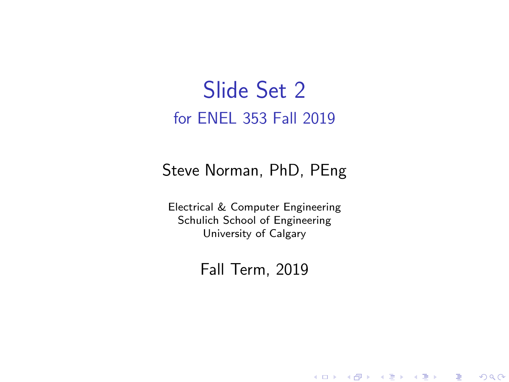#### Slide Set 2 for ENEL 353 Fall 2019

#### Steve Norman, PhD, PEng

Electrical & Computer Engineering Schulich School of Engineering University of Calgary

Fall Term, 2019

メロメ メ御メ メミメ メミメン

一番

 $2Q$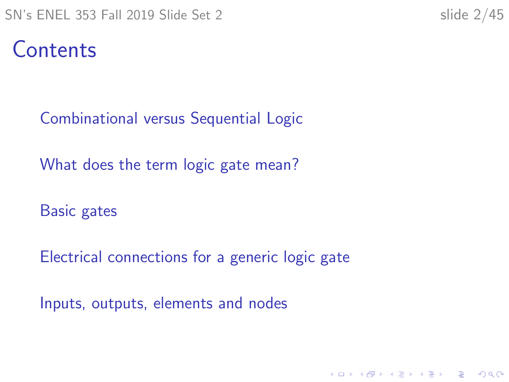### Contents

[Combinational versus Sequential Logic](#page-2-0)

[What does the term logic gate mean?](#page-5-0)

[Basic gates](#page-8-0)

[Electrical connections for a generic logic gate](#page-25-0)

K ロ ▶ K 個 ▶ K 할 ▶ K 할 ▶ 이 할 → 9 Q Q →

[Inputs, outputs, elements and nodes](#page-37-0)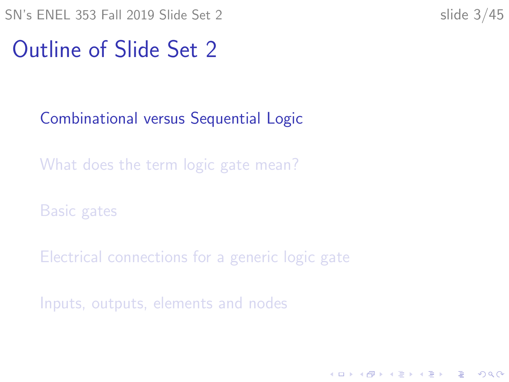<span id="page-2-0"></span>SN's ENEL 353 Fall 2019 Slide Set 2 slide 3/45

K ロ ▶ K 個 ▶ K 할 ▶ K 할 ▶ 이 할 → 이익 @

#### Outline of Slide Set 2

#### [Combinational versus Sequential Logic](#page-2-0)

[What does the term logic gate mean?](#page-5-0)

[Basic gates](#page-8-0)

[Electrical connections for a generic logic gate](#page-25-0)

[Inputs, outputs, elements and nodes](#page-37-0)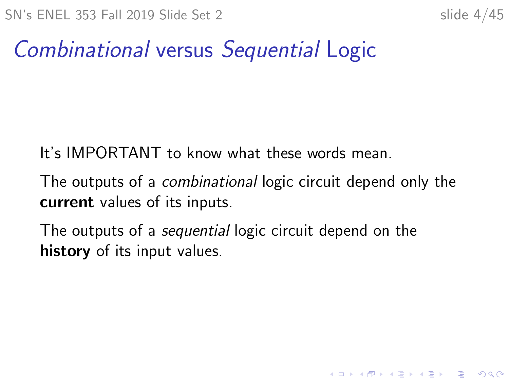**KORKARYKERKER POLO** 

### Combinational versus Sequential Logic

It's IMPORTANT to know what these words mean.

The outputs of a combinational logic circuit depend only the current values of its inputs.

The outputs of a sequential logic circuit depend on the history of its input values.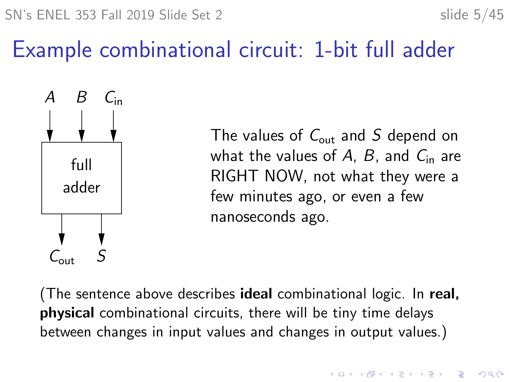### Example combinational circuit: 1-bit full adder



The values of  $C_{\text{out}}$  and S depend on what the values of A, B, and  $C_{\text{in}}$  are RIGHT NOW, not what they were a few minutes ago, or even a few nanoseconds ago.

**KORKARYKERKER POLO** 

(The sentence above describes ideal combinational logic. In real, physical combinational circuits, there will be tiny time delays between changes in input values and changes in output values.)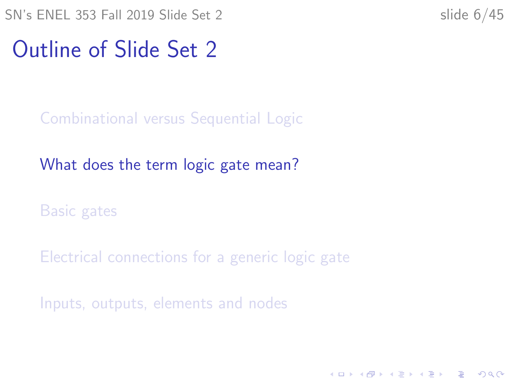<span id="page-5-0"></span> $SN's ENEL 353$  Fall 2019 Slide Set 2 slide 6/45

K ロ ▶ K 個 ▶ K 할 ▶ K 할 ▶ 이 할 → 이익 @

#### Outline of Slide Set 2

[Combinational versus Sequential Logic](#page-2-0)

[What does the term logic gate mean?](#page-5-0)

[Basic gates](#page-8-0)

[Electrical connections for a generic logic gate](#page-25-0)

[Inputs, outputs, elements and nodes](#page-37-0)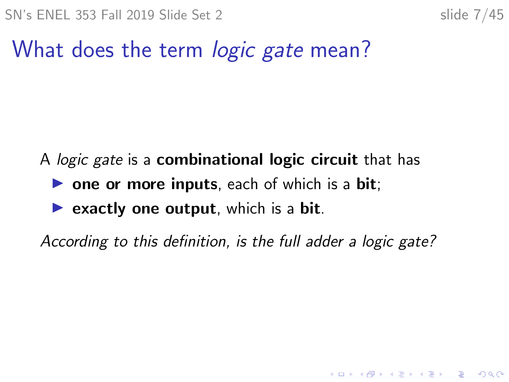### What does the term *logic gate* mean?

A *logic gate* is a **combinational logic circuit** that has

- $\triangleright$  one or more inputs, each of which is a bit;
- $\triangleright$  exactly one output, which is a bit.

According to this definition, is the full adder a logic gate?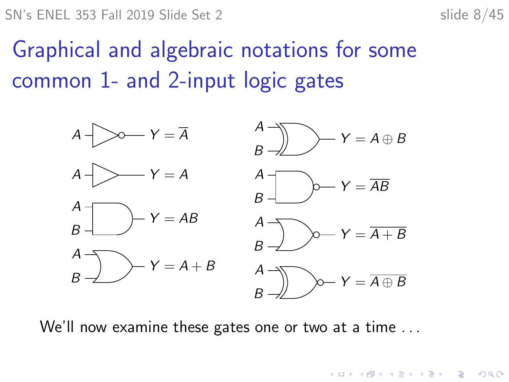**KORK EXTERNE PROVIDE** 

## Graphical and algebraic notations for some common 1- and 2-input logic gates



We'll now examine these gates one or two at a time ...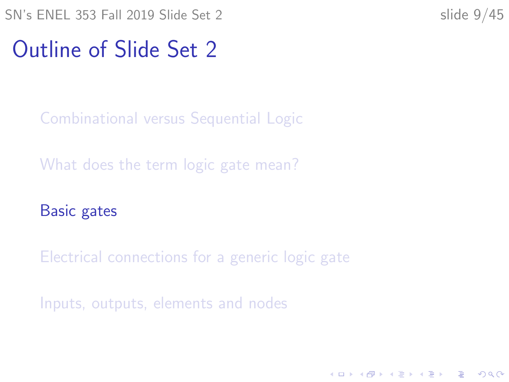<span id="page-8-0"></span> $SN's ENEL 353 Fall 2019 Slide Set 2$  slide  $9/45$ 

**KORKARYKERKER POLO** 

#### Outline of Slide Set 2

[Combinational versus Sequential Logic](#page-2-0)

[What does the term logic gate mean?](#page-5-0)

[Basic gates](#page-8-0)

[Electrical connections for a generic logic gate](#page-25-0)

[Inputs, outputs, elements and nodes](#page-37-0)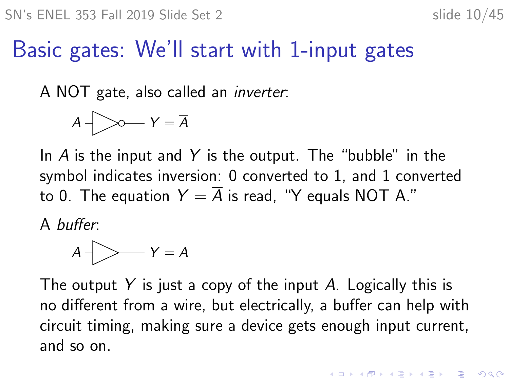### Basic gates: We'll start with 1-input gates

A NOT gate, also called an inverter:

A Y = A

In  $\overline{A}$  is the input and  $\overline{Y}$  is the output. The "bubble" in the symbol indicates inversion: 0 converted to 1, and 1 converted to 0. The equation  $Y = \overline{A}$  is read, "Y equals NOT A."

A buffer:

$$
A \bigvee Y = A
$$

The output Y is just a copy of the input A. Logically this is no different from a wire, but electrically, a buffer can help with circuit timing, making sure a device gets enough input current, and so on.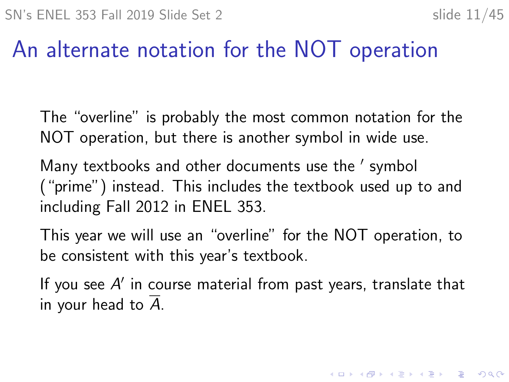KID KA KERKER KID KO

#### An alternate notation for the NOT operation

The "overline" is probably the most common notation for the NOT operation, but there is another symbol in wide use.

Many textbooks and other documents use the ' symbol ("prime") instead. This includes the textbook used up to and including Fall 2012 in ENEL 353.

This year we will use an "overline" for the NOT operation, to be consistent with this year's textbook.

If you see  $A'$  in course material from past years, translate that in your head to  $\overline{A}$ .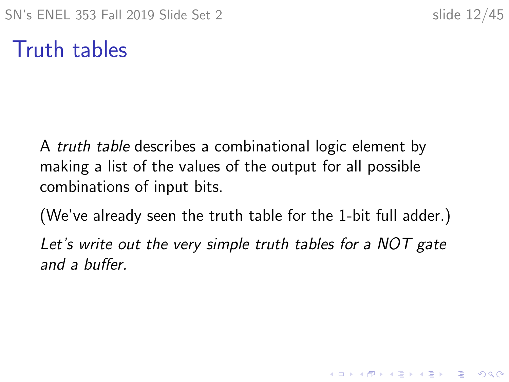### Truth tables

A truth table describes a combinational logic element by making a list of the values of the output for all possible combinations of input bits.

(We've already seen the truth table for the 1-bit full adder.) Let's write out the very simple truth tables for a NOT gate and a buffer.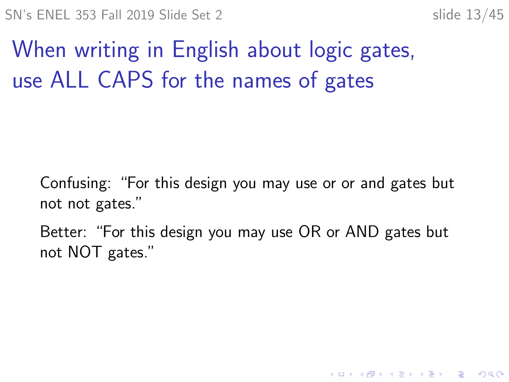**KORK ERKER ADAM ADA** 

When writing in English about logic gates, use ALL CAPS for the names of gates

Confusing: "For this design you may use or or and gates but not not gates."

Better: "For this design you may use OR or AND gates but not NOT gates."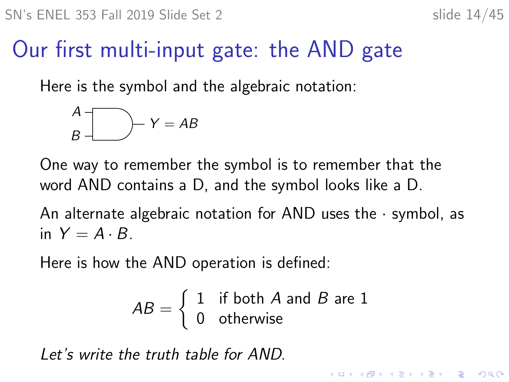### Our first multi-input gate: the AND gate

Here is the symbol and the algebraic notation:

$$
\begin{array}{c}\nA \\
B\n\end{array}\n\qquad \qquad Y = AB
$$

One way to remember the symbol is to remember that the word AND contains a D, and the symbol looks like a D.

An alternate algebraic notation for AND uses the  $\cdot$  symbol, as in  $Y = A \cdot B$ .

Here is how the AND operation is defined:

$$
AB = \left\{ \begin{array}{ll} 1 & \text{if both } A \text{ and } B \text{ are } 1 \\ 0 & \text{otherwise} \end{array} \right.
$$

Let's write the truth table for AND.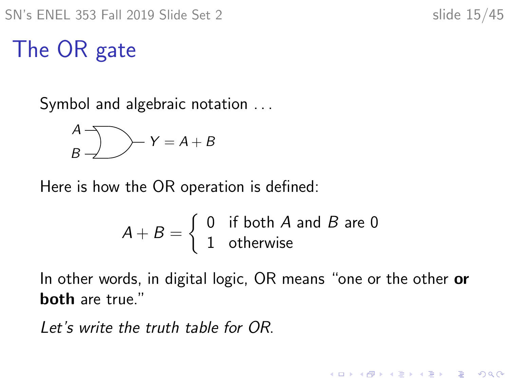### The OR gate

Symbol and algebraic notation ...

$$
\begin{array}{c}\nA \\
B\n\end{array}\n\qquad \qquad Y = A + B
$$

Here is how the OR operation is defined:

$$
A + B = \begin{cases} 0 & \text{if both } A \text{ and } B \text{ are } 0 \\ 1 & \text{otherwise} \end{cases}
$$

In other words, in digital logic, OR means "one or the other or both are true."

Let's write the truth table for OR.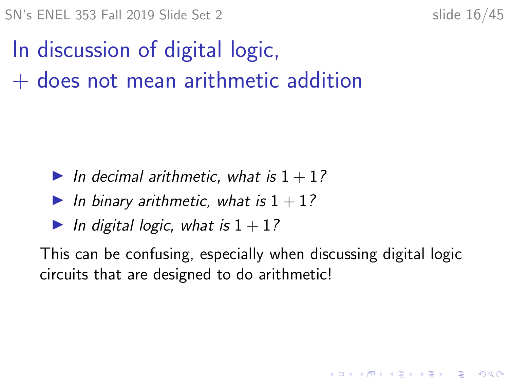$SN's ENEL 353$  Fall 2019 Slide Set 2 slide 16/45

In discussion of digital logic,  $+$  does not mean arithmetic addition

- In decimal arithmetic, what is  $1 + 1$ ?
- In binary arithmetic, what is  $1 + 1$ ?
- In digital logic, what is  $1 + 1$ ?

This can be confusing, especially when discussing digital logic circuits that are designed to do arithmetic!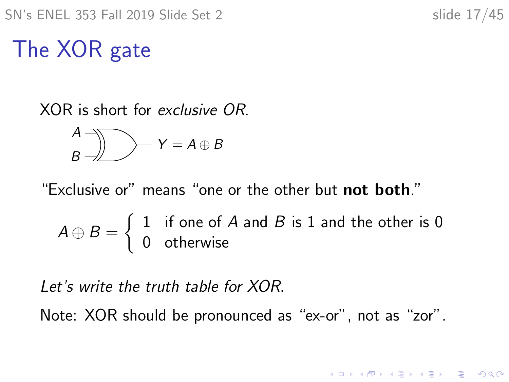K ロ ▶ K 個 ▶ K 할 ▶ K 할 ▶ 이 할 → 이익 @

## The XOR gate

XOR is short for exclusive OR.

A B Y = A ⊕ B

"Exclusive or" means "one or the other but not both."

$$
A \oplus B = \left\{ \begin{array}{ll} 1 & \text{if one of } A \text{ and } B \text{ is } 1 \text{ and the other is } 0 \\ 0 & \text{otherwise} \end{array} \right.
$$

Let's write the truth table for XOR.

Note: XOR should be pronounced as "ex-or", not as "zor".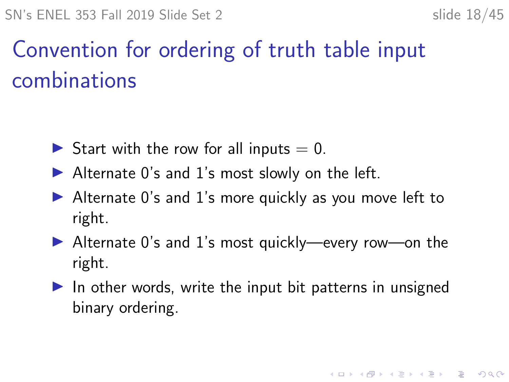# Convention for ordering of truth table input combinations

- Start with the row for all inputs  $= 0$ .
- $\blacktriangleright$  Alternate 0's and 1's most slowly on the left.
- $\blacktriangleright$  Alternate 0's and 1's more quickly as you move left to right.
- $\blacktriangleright$  Alternate 0's and 1's most quickly—every row—on the right.
- $\triangleright$  In other words, write the input bit patterns in unsigned binary ordering.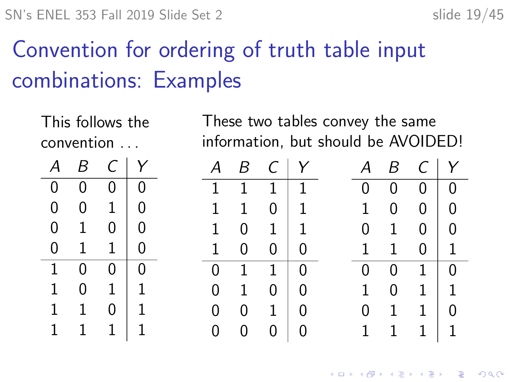# Convention for ordering of truth table input combinations: Examples

This follows the convention . . .

|   | B | Γ. |   |
|---|---|----|---|
| 0 | 0 | 0  | 0 |
| 0 | 0 | 1  | 0 |
| 0 | 1 | 0  | 0 |
| 0 | 1 | 1  | 0 |
| 1 | 0 | 0  | 0 |
| 1 | 0 | 1  | 1 |
| 1 | 1 | 0  | 1 |
| 1 | 1 | 1  | 1 |

These two tables convey the same information, but should be AVOIDED!

| А            | Β            |                    | $C \mid Y$                       | А            | B              | $C \mid Y$     |                                        |
|--------------|--------------|--------------------|----------------------------------|--------------|----------------|----------------|----------------------------------------|
| 1            |              | $1 \quad 1 \mid 1$ |                                  | 0            | $\overline{0}$ | $\tilde{0}$    | $\overline{0}$                         |
| $\mathbf 1$  | $\mathbf{1}$ | $\overline{0}$     | $\vert$ 1                        | 1            | 0              | $\overline{0}$ | $\begin{array}{c} \square \end{array}$ |
| $\mathbf{1}$ |              | $0 \quad 1 \mid 1$ |                                  | 0            | $\mathbf{1}$   | $\overline{0}$ | - 0                                    |
| $\mathbf{1}$ | 0            | $\overline{0}$     | $\Omega$                         | $\mathbf{1}$ | $\mathbf{1}$   | $\overline{0}$ | $\vert$ 1                              |
| 0            | $1 \quad 1$  |                    | $\begin{array}{c} \n\end{array}$ | 0            | $\overline{0}$ | $\mathbf{1}$   | U                                      |
| 0            | $\mathbf{1}$ | 0                  | $\Omega$                         | 1.           | $\overline{0}$ | $\mathbf{1}$   | $\vert$ 1                              |
| $\mathbf 0$  |              | $0 \quad 1$        | $\overline{0}$                   | 0            | $\mathbf{1}$   | $\mathbf{1}$   |                                        |
| $\mathbf 0$  | 0            | 0                  | 0                                | 1            | $\mathbf{1}$   | $\mathbf{1}$   | $\mathbf{1}$                           |

K ロ ▶ K 個 ▶ K 할 ▶ K 할 ▶ 이 할 → 9 Q Q →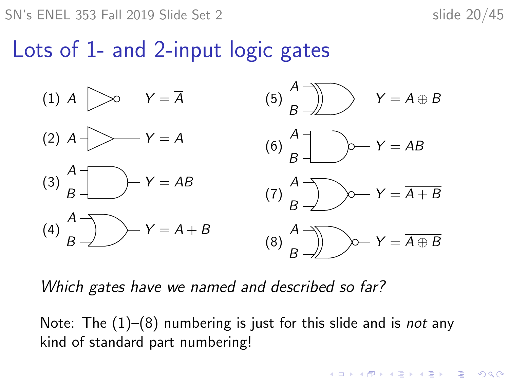SN's ENEL 353 Fall 2019 Slide Set 2 slide 20/45

**KORKARYKERKER POLO** 

#### Lots of 1- and 2-input logic gates



Which gates have we named and described so far?

Note: The  $(1)$ – $(8)$  numbering is just for this slide and is *not* any kind of standard part numbering!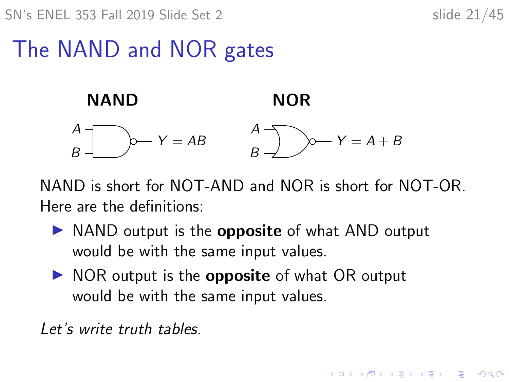SN's ENEL 353 Fall 2019 Slide Set 2 slide 21/45

**KORK EXTERNE PROVIDE** 

### The NAND and NOR gates



NAND is short for NOT-AND and NOR is short for NOT-OR. Here are the definitions:

- $\triangleright$  NAND output is the **opposite** of what AND output would be with the same input values.
- $\triangleright$  NOR output is the **opposite** of what OR output would be with the same input values.

Let's write truth tables.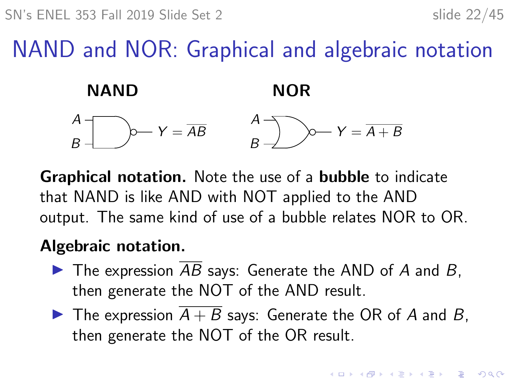### NAND and NOR: Graphical and algebraic notation



Graphical notation. Note the use of a bubble to indicate that NAND is like AND with NOT applied to the AND output. The same kind of use of a bubble relates NOR to OR.

#### Algebraic notation.

- $\blacktriangleright$  The expression  $\overline{AB}$  says: Generate the AND of A and B, then generate the NOT of the AND result.
- $\blacktriangleright$  The expression  $\overline{A+B}$  says: Generate the OR of A and B, then generate the NOT of the OR result.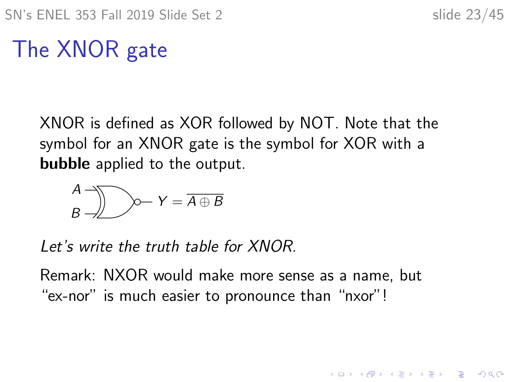**KORKARYKERKER POLO** 

## The XNOR gate

XNOR is defined as XOR followed by NOT. Note that the symbol for an XNOR gate is the symbol for XOR with a bubble applied to the output.

A B Y = A ⊕ B

Let's write the truth table for XNOR.

Remark: NXOR would make more sense as a name, but "ex-nor" is much easier to pronounce than "nxor"!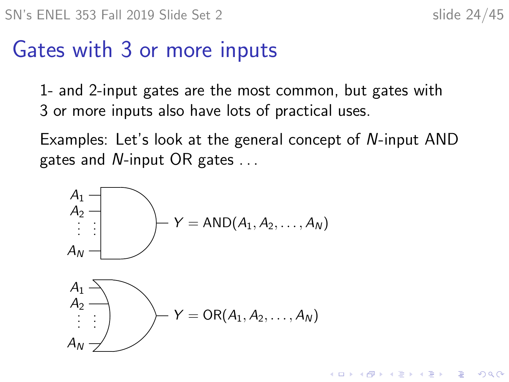4 0 1 4 4 5 1 4 5 1 5 1 5

 $2990$ 

#### Gates with 3 or more inputs

1- and 2-input gates are the most common, but gates with 3 or more inputs also have lots of practical uses.

Examples: Let's look at the general concept of N-input AND gates and N-input OR gates . . .

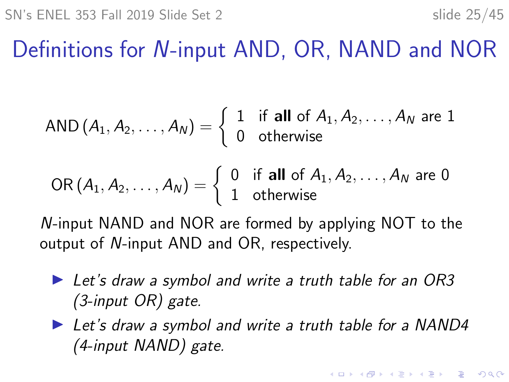### Definitions for N-input AND, OR, NAND and NOR

$$
\mathsf{AND}\left(A_1,A_2,\ldots,A_N\right)=\left\{\begin{array}{ll}1 & \text{if all of } A_1,A_2,\ldots,A_N \text{ are }1 \\0 & \text{otherwise}\end{array}\right.
$$

$$
\text{OR}(A_1, A_2, \ldots, A_N) = \left\{ \begin{array}{ll} 0 & \text{if all of } A_1, A_2, \ldots, A_N \text{ are } 0 \\ 1 & \text{otherwise} \end{array} \right.
$$

N-input NAND and NOR are formed by applying NOT to the output of N-input AND and OR, respectively.

- $\blacktriangleright$  Let's draw a symbol and write a truth table for an OR3 (3-input OR) gate.
- $\blacktriangleright$  Let's draw a symbol and write a truth table for a NAND4 (4-input NAND) gate.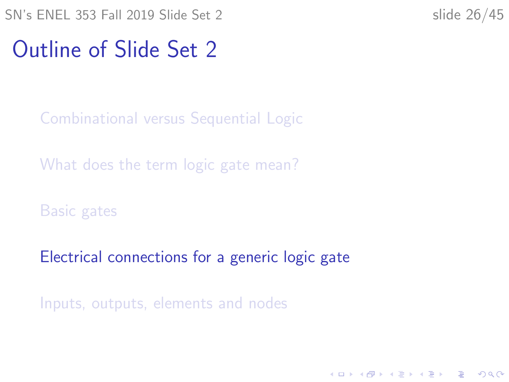<span id="page-25-0"></span>SN's ENEL 353 Fall 2019 Slide Set 2 slide 26/45

K ロ ▶ K 個 ▶ K 할 ▶ K 할 ▶ 이 할 → 이익 @

#### Outline of Slide Set 2

[Combinational versus Sequential Logic](#page-2-0)

[What does the term logic gate mean?](#page-5-0)

[Basic gates](#page-8-0)

[Electrical connections for a generic logic gate](#page-25-0)

[Inputs, outputs, elements and nodes](#page-37-0)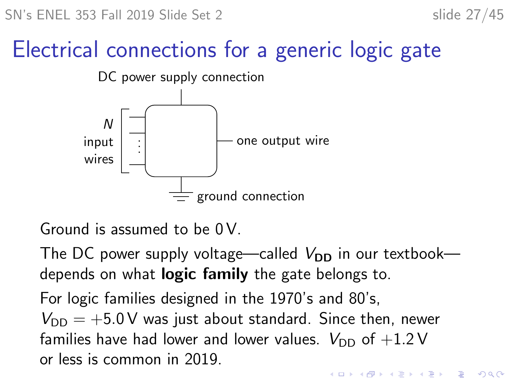SN's ENEL 353 Fall 2019 Slide Set 2 slide 27/45

### Electrical connections for a generic logic gate



Ground is assumed to be 0 V.

The DC power supply voltage—called  $V_{DD}$  in our textbook depends on what **logic family** the gate belongs to.

For logic families designed in the 1970's and 80's,  $V_{\text{DD}} = +5.0 \text{ V}$  was just about standard. Since then, newer families have had lower and lower values.  $V_{\text{DD}}$  of  $+1.2 \text{V}$ or less is common in 2019.**KORKA SERKER YOUR**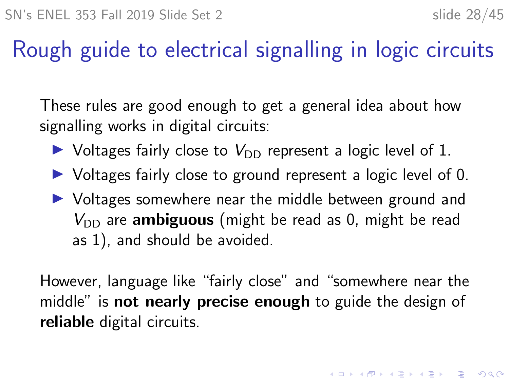### Rough guide to electrical signalling in logic circuits

These rules are good enough to get a general idea about how signalling works in digital circuits:

- $\triangleright$  Voltages fairly close to  $V_{\text{DD}}$  represent a logic level of 1.
- $\triangleright$  Voltages fairly close to ground represent a logic level of 0.
- $\triangleright$  Voltages somewhere near the middle between ground and  $V_{\text{DD}}$  are **ambiguous** (might be read as 0, might be read as 1), and should be avoided.

However, language like "fairly close" and "somewhere near the middle" is **not nearly precise enough** to guide the design of reliable digital circuits.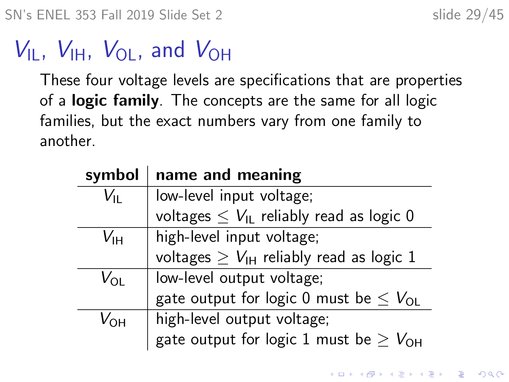SN's ENEL 353 Fall 2019 Slide Set 2 slide 29/45

# $V_{\text{II}}$ ,  $V_{\text{IH}}$ ,  $V_{\text{OI}}$ , and  $V_{\text{OH}}$

These four voltage levels are specifications that are properties of a **logic family**. The concepts are the same for all logic families, but the exact numbers vary from one family to another.

| symbol          | name and meaning                                       |  |
|-----------------|--------------------------------------------------------|--|
| $V_{\rm IL}$    | low-level input voltage;                               |  |
|                 | voltages $\leq V_{\text{IL}}$ reliably read as logic 0 |  |
| V <sub>IH</sub> | high-level input voltage;                              |  |
|                 | voltages $\geq V_{\text{IH}}$ reliably read as logic 1 |  |
| $V_{\Omega L}$  | low-level output voltage;                              |  |
|                 | gate output for logic 0 must be $\leq V_{OL}$          |  |
| $V_{\Omega H}$  | high-level output voltage;                             |  |
|                 | gate output for logic 1 must be $\geq V_{\text{OH}}$   |  |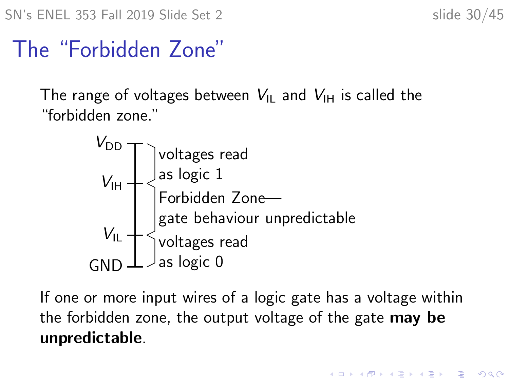SN's ENEL 353 Fall 2019 Slide Set 2 slide 30/45

#### The "Forbidden Zone"

The range of voltages between  $V_{\text{IL}}$  and  $V_{\text{IH}}$  is called the "forbidden zone."



If one or more input wires of a logic gate has a voltage within the forbidden zone, the output voltage of the gate may be unpredictable.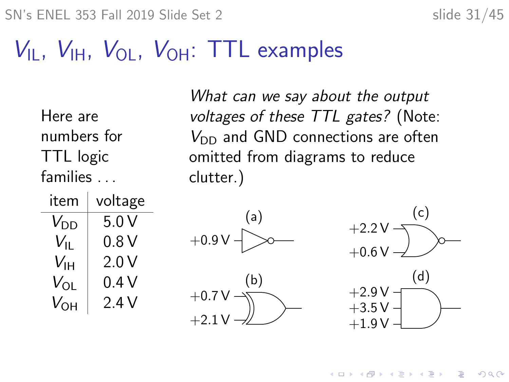SN's ENEL 353 Fall 2019 Slide Set 2 slide 31/45

## $V_{\text{IL}}$ ,  $V_{\text{IH}}$ ,  $V_{\text{OL}}$ ,  $V_{\text{OH}}$ : TTL examples

Here are numbers for TTL logic families . . .

What can we say about the output voltages of these TTL gates? (Note:  $V_{\text{DD}}$  and GND connections are often omitted from diagrams to reduce clutter.)

| item          | voltage |
|---------------|---------|
| $V_{\rm DD}$  | 5.0 V   |
| $V_{\rm{II}}$ | 0.8 V   |
| Vıн           | 2.0 V   |
| $V_{OL}$      | 0.4 V   |
| $V_{\rm OH}$  | 2 4 V   |





 $\left\{ \begin{array}{ccc} 1 & 0 & 0 \\ 0 & 1 & 0 \\ 0 & 0 & 0 \\ 0 & 0 & 0 \\ 0 & 0 & 0 \\ 0 & 0 & 0 \\ 0 & 0 & 0 \\ 0 & 0 & 0 \\ 0 & 0 & 0 \\ 0 & 0 & 0 \\ 0 & 0 & 0 \\ 0 & 0 & 0 \\ 0 & 0 & 0 \\ 0 & 0 & 0 \\ 0 & 0 & 0 & 0 \\ 0 & 0 & 0 & 0 \\ 0 & 0 & 0 & 0 \\ 0 & 0 & 0 & 0 & 0 \\ 0 & 0 & 0 & 0 & 0 \\ 0 & 0 & 0 & 0 & 0 \\ 0$ 

 $\Rightarrow$ 

 $2Q$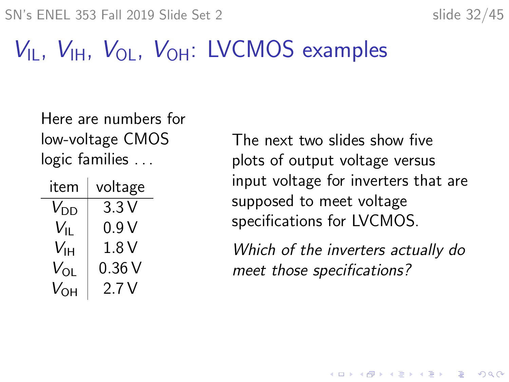SN's ENEL 353 Fall 2019 Slide Set 2 slide 32/45

## $V_{\text{II}}$ ,  $V_{\text{III}}$ ,  $V_{\text{OI}}$ ,  $V_{\text{OH}}$ : LVCMOS examples

Here are numbers for low-voltage CMOS logic families ...

| item            | voltage |
|-----------------|---------|
| $V_{DD}$        | 3.3 V   |
| $V_{\rm{II}}$   | 0.9 V   |
| $V_{\text{IH}}$ | 1.8 V   |
| $V_{OL}$        | 0.36V   |
| $V_{\rm OH}$    | 2.7 V   |

The next two slides show five plots of output voltage versus input voltage for inverters that are supposed to meet voltage specifications for LVCMOS.

Which of the inverters actually do meet those specifications?

**KORKARYKERKER POLO**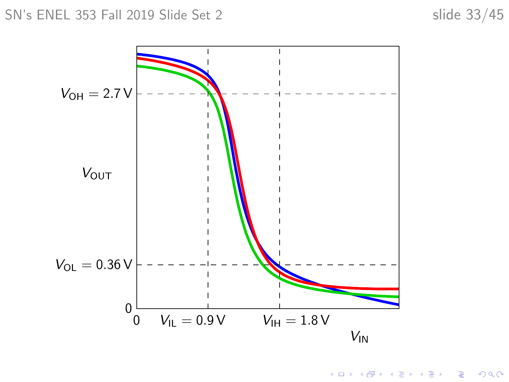#### SN's ENEL 353 Fall 2019 Slide Set 2 slide 33/45



K ロ ▶ K @ ▶ K 할 ▶ K 할 ▶ 이 할 → 9 Q @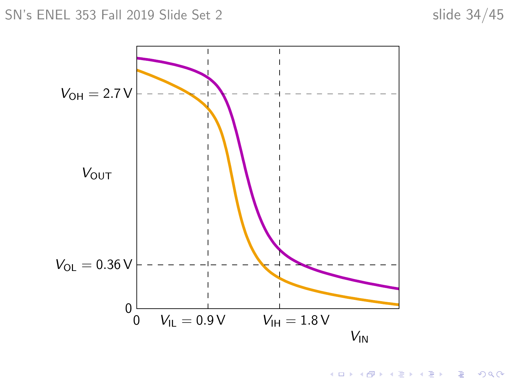

K ロ ▶ K @ ▶ K 할 ▶ K 할 ▶ 이 할 → 9 Q @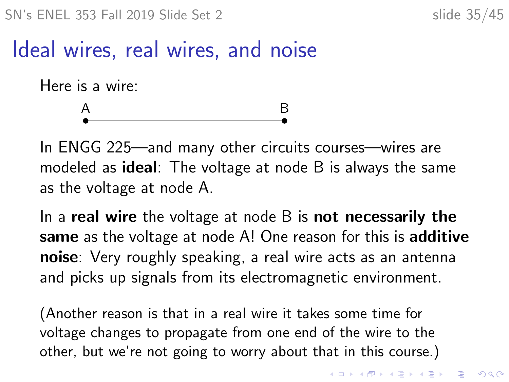#### Ideal wires, real wires, and noise

Here is a wire:

# A B

In ENGG 225—and many other circuits courses—wires are modeled as **ideal**: The voltage at node B is always the same as the voltage at node A.

In a real wire the voltage at node  $B$  is not necessarily the same as the voltage at node A! One reason for this is additive noise: Very roughly speaking, a real wire acts as an antenna and picks up signals from its electromagnetic environment.

(Another reason is that in a real wire it takes some time for voltage changes to propagate from one end of the wire to the other, but we're not going to worry about that in this course.)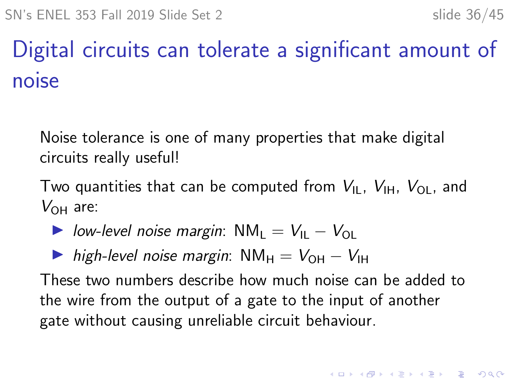# Digital circuits can tolerate a significant amount of noise

Noise tolerance is one of many properties that make digital circuits really useful!

Two quantities that can be computed from  $V_{\rm II}$ ,  $V_{\rm IH}$ ,  $V_{\rm O1}$ , and  $V_{OH}$  are:

- $\triangleright$  low-level noise margin:  $NM_1 = V_{11} V_{01}$
- $\triangleright$  high-level noise margin: NM<sub>H</sub> =  $V_{\text{OH}} V_{\text{H}}$

These two numbers describe how much noise can be added to the wire from the output of a gate to the input of another gate without causing unreliable circuit behaviour.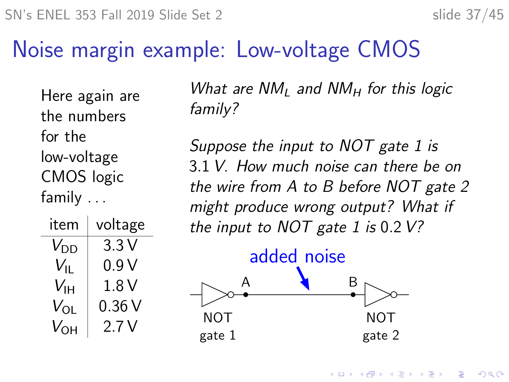SN's ENEL 353 Fall 2019 Slide Set 2 slide 37/45

#### Noise margin example: Low-voltage CMOS

Here again are the numbers for the low-voltage CMOS logic family ...

| item              | voltage |
|-------------------|---------|
| $V_{DD}$          | 3.3 V   |
| $V_{\rm{II}}$     | 0.9 V   |
| $V_{\sf IH}$      | 1.8 V   |
| $V_{\mathsf{OL}}$ | 0.36V   |
| $V_{\rm OH}$      | 2.7 V   |

What are  $NM<sub>L</sub>$  and  $NM<sub>H</sub>$  for this logic family?

Suppose the input to NOT gate 1 is 3.1 V. How much noise can there be on the wire from A to B before NOT gate 2 might produce wrong output? What if the input to  $NOT$  gate 1 is 0.2  $V$ ?



4 0 1 4 4 5 1 4 5 1 5 1 5  $2Q$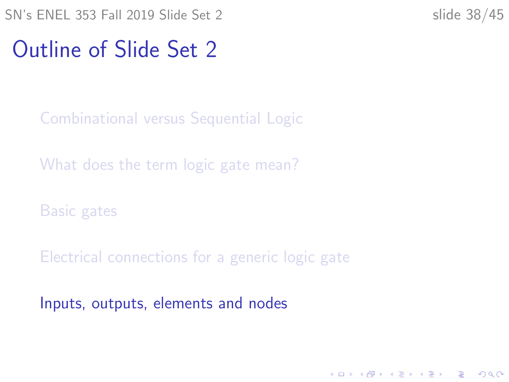<span id="page-37-0"></span>SN's ENEL 353 Fall 2019 Slide Set 2 slide 38/45

K ロ ▶ K 個 ▶ K 할 ▶ K 할 ▶ 이 할 → 이익 @

#### Outline of Slide Set 2

[Combinational versus Sequential Logic](#page-2-0)

[What does the term logic gate mean?](#page-5-0)

[Basic gates](#page-8-0)

[Electrical connections for a generic logic gate](#page-25-0)

[Inputs, outputs, elements and nodes](#page-37-0)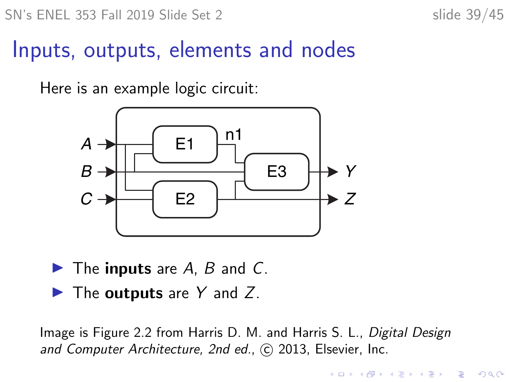SN's ENEL 353 Fall 2019 Slide Set 2 slide 39/45

#### Inputs, outputs, elements and nodes

Here is an example logic circuit:



- $\blacktriangleright$  The inputs are A, B and C.
- $\blacktriangleright$  The outputs are Y and Z.

Image is Figure 2.2 from Harris D. M. and Harris S. L., Digital Design and Computer Architecture, 2nd ed., C 2013, Elsevier, Inc.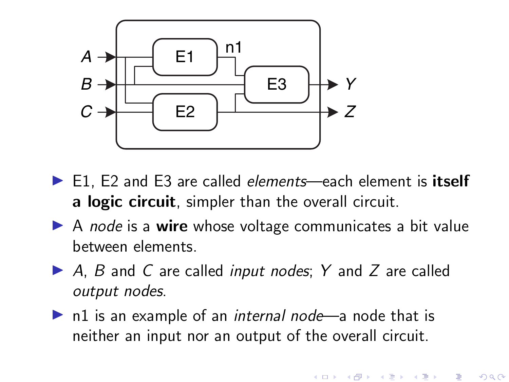

- ▶ E1, E2 and E3 are called *elements*—each element is itself a logic circuit, simpler than the overall circuit.
- $\triangleright$  A node is a wire whose voltage communicates a bit value between elements.
- $\triangleright$  A, B and C are called *input nodes*; Y and Z are called output nodes.
- $\triangleright$  n1 is an example of an *internal node*—a node that is neither an input nor an output of the overall circuit.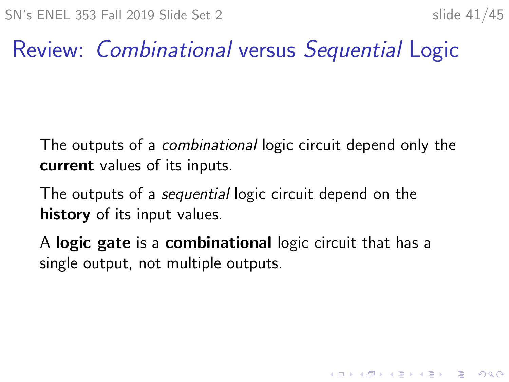## Review: Combinational versus Sequential Logic

The outputs of a combinational logic circuit depend only the current values of its inputs.

The outputs of a sequential logic circuit depend on the history of its input values.

A logic gate is a combinational logic circuit that has a single output, not multiple outputs.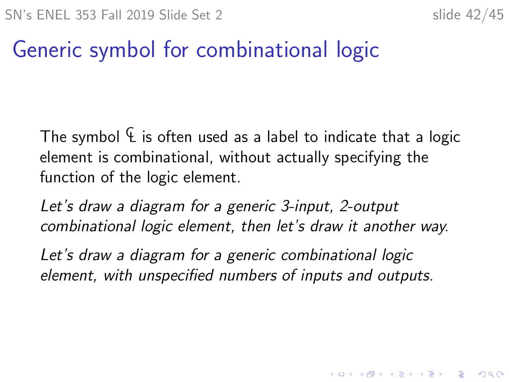4 0 > 4 4 + 4 = + 4 = + = + + 0 4 0 +

### Generic symbol for combinational logic

The symbol  $\mathcal{L}$  is often used as a label to indicate that a logic element is combinational, without actually specifying the function of the logic element.

Let's draw a diagram for a generic 3-input, 2-output combinational logic element, then let's draw it another way.

Let's draw a diagram for a generic combinational logic element, with unspecified numbers of inputs and outputs.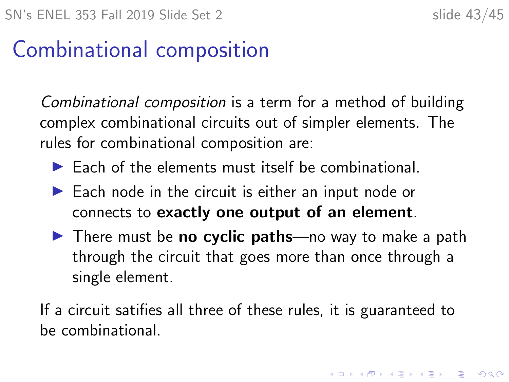4 0 > 4 4 + 4 = + 4 = + = + + 0 4 0 +

### Combinational composition

Combinational composition is a term for a method of building complex combinational circuits out of simpler elements. The rules for combinational composition are:

- $\blacktriangleright$  Each of the elements must itself be combinational.
- $\blacktriangleright$  Each node in the circuit is either an input node or connects to exactly one output of an element.
- $\blacktriangleright$  There must be **no cyclic paths**—no way to make a path through the circuit that goes more than once through a single element.

If a circuit satifies all three of these rules, it is guaranteed to be combinational.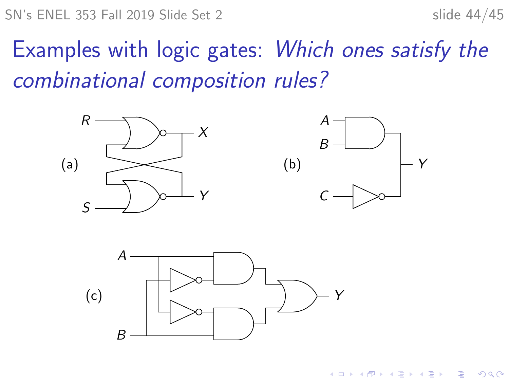Examples with logic gates: Which ones satisfy the combinational composition rules?







 $\left\{ \begin{array}{ccc} 1 & 0 & 0 \\ 0 & 1 & 0 \\ 0 & 0 & 0 \\ 0 & 0 & 0 \\ 0 & 0 & 0 \\ 0 & 0 & 0 \\ 0 & 0 & 0 \\ 0 & 0 & 0 \\ 0 & 0 & 0 \\ 0 & 0 & 0 \\ 0 & 0 & 0 \\ 0 & 0 & 0 \\ 0 & 0 & 0 \\ 0 & 0 & 0 \\ 0 & 0 & 0 & 0 \\ 0 & 0 & 0 & 0 \\ 0 & 0 & 0 & 0 \\ 0 & 0 & 0 & 0 & 0 \\ 0 & 0 & 0 & 0 & 0 \\ 0 & 0 & 0 & 0 & 0 \\ 0$  $2990$ B